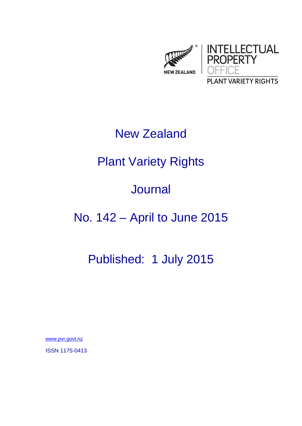

### New Zealand

# Plant Variety Rights

### Journal

## No. 142 – April to June 2015

## Published: 1 July 2015

www.pvr.govt.nz

ISSN 1175-0413